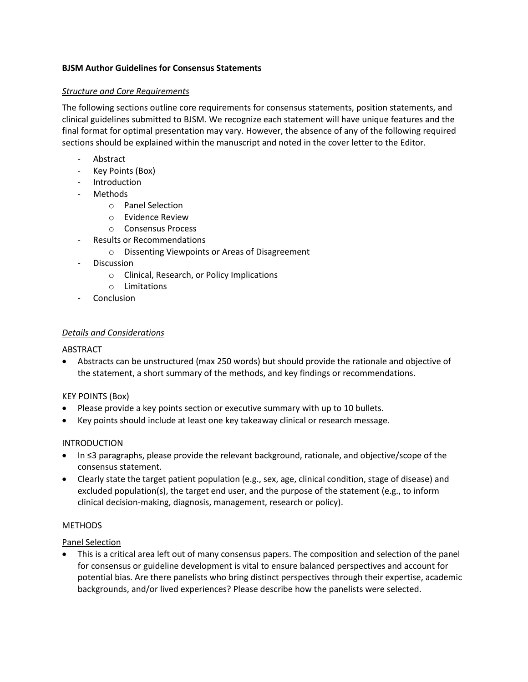## **BJSM Author Guidelines for Consensus Statements**

## *Structure and Core Requirements*

The following sections outline core requirements for consensus statements, position statements, and clinical guidelines submitted to BJSM. We recognize each statement will have unique features and the final format for optimal presentation may vary. However, the absence of any of the following required sections should be explained within the manuscript and noted in the cover letter to the Editor.

- **Abstract**
- Key Points (Box)
- Introduction
- Methods
	- o Panel Selection
	- o Evidence Review
	- o Consensus Process
	- Results or Recommendations
		- o Dissenting Viewpoints or Areas of Disagreement
- Discussion
	- o Clinical, Research, or Policy Implications
	- o Limitations
- **Conclusion**

### *Details and Considerations*

### ABSTRACT

• Abstracts can be unstructured (max 250 words) but should provide the rationale and objective of the statement, a short summary of the methods, and key findings or recommendations.

### KEY POINTS (Box)

- Please provide a key points section or executive summary with up to 10 bullets.
- Key points should include at least one key takeaway clinical or research message.

### INTRODUCTION

- In ≤3 paragraphs, please provide the relevant background, rationale, and objective/scope of the consensus statement.
- Clearly state the target patient population (e.g., sex, age, clinical condition, stage of disease) and excluded population(s), the target end user, and the purpose of the statement (e.g., to inform clinical decision-making, diagnosis, management, research or policy).

### **METHODS**

### Panel Selection

• This is a critical area left out of many consensus papers. The composition and selection of the panel for consensus or guideline development is vital to ensure balanced perspectives and account for potential bias. Are there panelists who bring distinct perspectives through their expertise, academic backgrounds, and/or lived experiences? Please describe how the panelists were selected.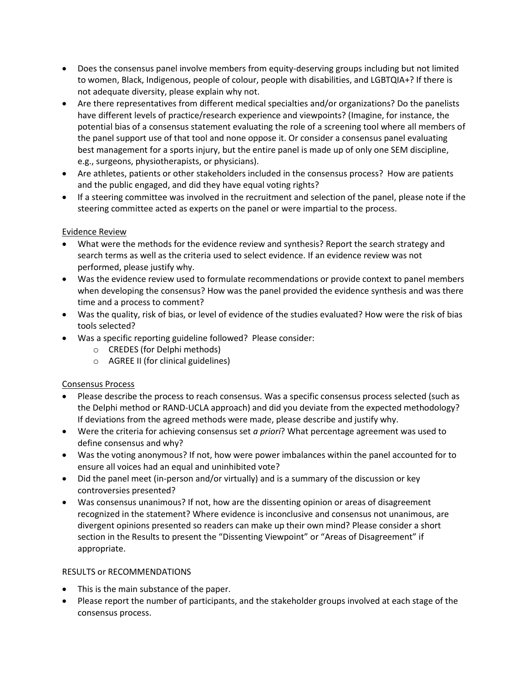- Does the consensus panel involve members from equity-deserving groups including but not limited to women, Black, Indigenous, people of colour, people with disabilities, and LGBTQIA+? If there is not adequate diversity, please explain why not.
- Are there representatives from different medical specialties and/or organizations? Do the panelists have different levels of practice/research experience and viewpoints? (Imagine, for instance, the potential bias of a consensus statement evaluating the role of a screening tool where all members of the panel support use of that tool and none oppose it. Or consider a consensus panel evaluating best management for a sports injury, but the entire panel is made up of only one SEM discipline, e.g., surgeons, physiotherapists, or physicians).
- Are athletes, patients or other stakeholders included in the consensus process? How are patients and the public engaged, and did they have equal voting rights?
- If a steering committee was involved in the recruitment and selection of the panel, please note if the steering committee acted as experts on the panel or were impartial to the process.

# Evidence Review

- What were the methods for the evidence review and synthesis? Report the search strategy and search terms as well as the criteria used to select evidence. If an evidence review was not performed, please justify why.
- Was the evidence review used to formulate recommendations or provide context to panel members when developing the consensus? How was the panel provided the evidence synthesis and was there time and a process to comment?
- Was the quality, risk of bias, or level of evidence of the studies evaluated? How were the risk of bias tools selected?
- Was a specific reporting guideline followed? Please consider:
	- o CREDES (for Delphi methods)
	- o AGREE II (for clinical guidelines)

# Consensus Process

- Please describe the process to reach consensus. Was a specific consensus process selected (such as the Delphi method or RAND-UCLA approach) and did you deviate from the expected methodology? If deviations from the agreed methods were made, please describe and justify why.
- Were the criteria for achieving consensus set *a priori*? What percentage agreement was used to define consensus and why?
- Was the voting anonymous? If not, how were power imbalances within the panel accounted for to ensure all voices had an equal and uninhibited vote?
- Did the panel meet (in-person and/or virtually) and is a summary of the discussion or key controversies presented?
- Was consensus unanimous? If not, how are the dissenting opinion or areas of disagreement recognized in the statement? Where evidence is inconclusive and consensus not unanimous, are divergent opinions presented so readers can make up their own mind? Please consider a short section in the Results to present the "Dissenting Viewpoint" or "Areas of Disagreement" if appropriate.

### RESULTS or RECOMMENDATIONS

- This is the main substance of the paper.
- Please report the number of participants, and the stakeholder groups involved at each stage of the consensus process.